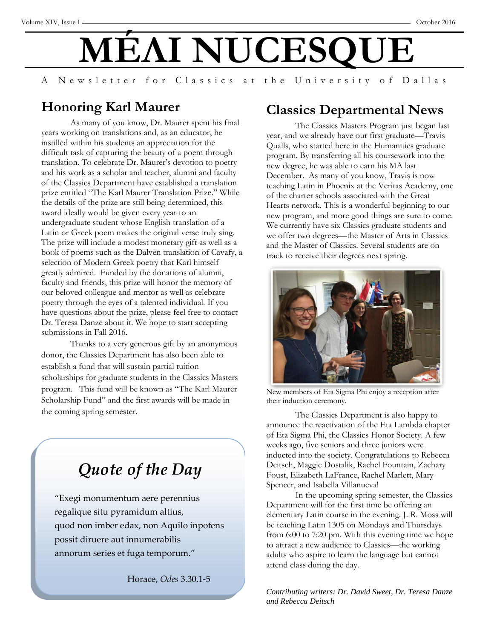# **MÉΛI NUCESQ**

A Newsletter for Classics at the University of Dallas

#### **Honoring Karl Maurer**

As many of you know, Dr. Maurer spent his final years working on translations and, as an educator, he instilled within his students an appreciation for the difficult task of capturing the beauty of a poem through translation. To celebrate Dr. Maurer's devotion to poetry and his work as a scholar and teacher, alumni and faculty of the Classics Department have established a translation prize entitled "The Karl Maurer Translation Prize." While the details of the prize are still being determined, this award ideally would be given every year to an undergraduate student whose English translation of a Latin or Greek poem makes the original verse truly sing. The prize will include a modest monetary gift as well as a book of poems such as the Dalven translation of Cavafy, a selection of Modern Greek poetry that Karl himself greatly admired. Funded by the donations of alumni, faculty and friends, this prize will honor the memory of our beloved colleague and mentor as well as celebrate poetry through the eyes of a talented individual. If you have questions about the prize, please feel free to contact Dr. Teresa Danze about it. We hope to start accepting submissions in Fall 2016.

Thanks to a very generous gift by an anonymous donor, the Classics Department has also been able to establish a fund that will sustain partial tuition scholarships for graduate students in the Classics Masters program. This fund will be known as "The Karl Maurer Scholarship Fund" and the first awards will be made in the coming spring semester.

### *Quote of the Day*

"Exegi monumentum aere perennius regalique situ pyramidum altius, quod non imber edax, non Aquilo inpotens possit diruere aut innumerabilis annorum series et fuga temporum."

Horace, *Odes* 3.30.1-5

#### **Classics Departmental News**

The Classics Masters Program just began last year, and we already have our first graduate—Travis Qualls, who started here in the Humanities graduate program. By transferring all his coursework into the new degree, he was able to earn his MA last December. As many of you know, Travis is now teaching Latin in Phoenix at the Veritas Academy, one of the charter schools associated with the Great Hearts network. This is a wonderful beginning to our new program, and more good things are sure to come. We currently have six Classics graduate students and we offer two degrees—the Master of Arts in Classics and the Master of Classics. Several students are on track to receive their degrees next spring.



New members of Eta Sigma Phi enjoy a reception after their induction ceremony.

The Classics Department is also happy to announce the reactivation of the Eta Lambda chapter of Eta Sigma Phi, the Classics Honor Society. A few weeks ago, five seniors and three juniors were inducted into the society. Congratulations to Rebecca Deitsch, Maggie Dostalik, Rachel Fountain, Zachary Foust, Elizabeth LaFrance, Rachel Marlett, Mary Spencer, and Isabella Villanueva!

In the upcoming spring semester, the Classics Department will for the first time be offering an elementary Latin course in the evening. J. R. Moss will be teaching Latin 1305 on Mondays and Thursdays from 6:00 to 7:20 pm. With this evening time we hope to attract a new audience to Classics—the working adults who aspire to learn the language but cannot attend class during the day.

*Contributing writers: Dr. David Sweet, Dr. Teresa Danze and Rebecca Deitsch*